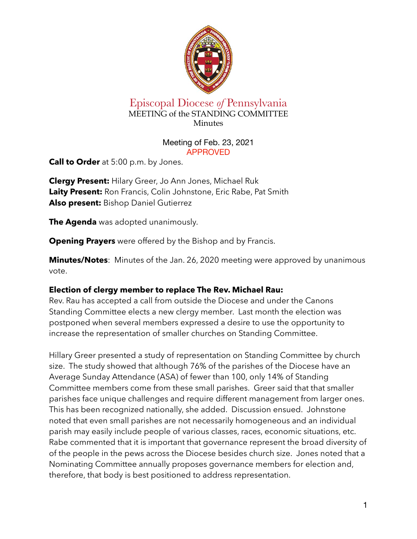

# Episcopal Diocese *of* Pennsylvania MEETING of the STANDING COMMITTEE Minutes

#### Meeting of Feb. 23, 2021 APPROVED

**Call to Order** at 5:00 p.m. by Jones.

**Clergy Present:** Hilary Greer, Jo Ann Jones, Michael Ruk **Laity Present:** Ron Francis, Colin Johnstone, Eric Rabe, Pat Smith **Also present:** Bishop Daniel Gutierrez

**The Agenda** was adopted unanimously.

**Opening Prayers** were offered by the Bishop and by Francis.

**Minutes/Notes**: Minutes of the Jan. 26, 2020 meeting were approved by unanimous vote.

# **Election of clergy member to replace The Rev. Michael Rau:**

Rev. Rau has accepted a call from outside the Diocese and under the Canons Standing Committee elects a new clergy member. Last month the election was postponed when several members expressed a desire to use the opportunity to increase the representation of smaller churches on Standing Committee.

Hillary Greer presented a study of representation on Standing Committee by church size. The study showed that although 76% of the parishes of the Diocese have an Average Sunday Attendance (ASA) of fewer than 100, only 14% of Standing Committee members come from these small parishes. Greer said that that smaller parishes face unique challenges and require different management from larger ones. This has been recognized nationally, she added. Discussion ensued. Johnstone noted that even small parishes are not necessarily homogeneous and an individual parish may easily include people of various classes, races, economic situations, etc. Rabe commented that it is important that governance represent the broad diversity of of the people in the pews across the Diocese besides church size. Jones noted that a Nominating Committee annually proposes governance members for election and, therefore, that body is best positioned to address representation.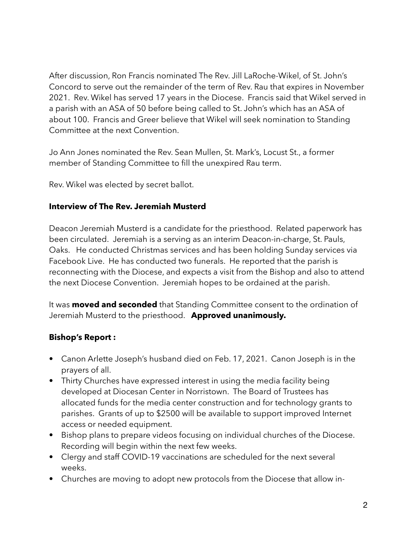After discussion, Ron Francis nominated The Rev. Jill LaRoche-Wikel, of St. John's Concord to serve out the remainder of the term of Rev. Rau that expires in November 2021. Rev. Wikel has served 17 years in the Diocese. Francis said that Wikel served in a parish with an ASA of 50 before being called to St. John's which has an ASA of about 100. Francis and Greer believe that Wikel will seek nomination to Standing Committee at the next Convention.

Jo Ann Jones nominated the Rev. Sean Mullen, St. Mark's, Locust St., a former member of Standing Committee to fill the unexpired Rau term.

Rev. Wikel was elected by secret ballot.

### **Interview of The Rev. Jeremiah Musterd**

Deacon Jeremiah Musterd is a candidate for the priesthood. Related paperwork has been circulated. Jeremiah is a serving as an interim Deacon-in-charge, St. Pauls, Oaks. He conducted Christmas services and has been holding Sunday services via Facebook Live. He has conducted two funerals. He reported that the parish is reconnecting with the Diocese, and expects a visit from the Bishop and also to attend the next Diocese Convention. Jeremiah hopes to be ordained at the parish.

It was **moved and seconded** that Standing Committee consent to the ordination of Jeremiah Musterd to the priesthood. **Approved unanimously.**

# **Bishop's Report :**

- **•** Canon Arlette Joseph's husband died on Feb. 17, 2021. Canon Joseph is in the prayers of all.
- **•** Thirty Churches have expressed interest in using the media facility being developed at Diocesan Center in Norristown. The Board of Trustees has allocated funds for the media center construction and for technology grants to parishes. Grants of up to \$2500 will be available to support improved Internet access or needed equipment.
- **•** Bishop plans to prepare videos focusing on individual churches of the Diocese. Recording will begin within the next few weeks.
- **•** Clergy and staff COVID-19 vaccinations are scheduled for the next several weeks.
- **•** Churches are moving to adopt new protocols from the Diocese that allow in-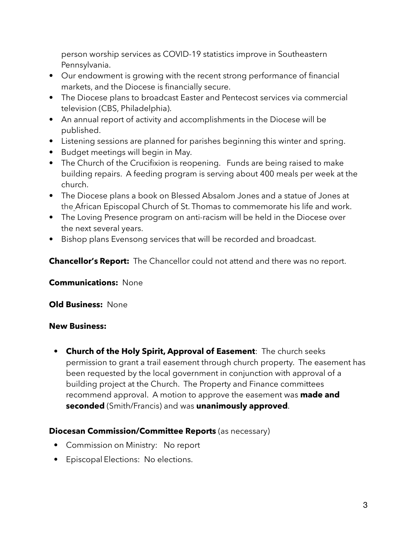person worship services as COVID-19 statistics improve in Southeastern Pennsylvania.

- **•** Our endowment is growing with the recent strong performance of financial markets, and the Diocese is financially secure.
- **•** The Diocese plans to broadcast Easter and Pentecost services via commercial television (CBS, Philadelphia).
- **•** An annual report of activity and accomplishments in the Diocese will be published.
- **•** Listening sessions are planned for parishes beginning this winter and spring.
- **•** Budget meetings will begin in May.
- **•** The Church of the Crucifixion is reopening. Funds are being raised to make building repairs. A feeding program is serving about 400 meals per week at the church.
- **•** The Diocese plans a book on Blessed Absalom Jones and a statue of Jones at the African Episcopal Church of St. Thomas to commemorate his life and work.
- **•** The Loving Presence program on anti-racism will be held in the Diocese over the next several years.
- **•** Bishop plans Evensong services that will be recorded and broadcast.

**Chancellor's Report:** The Chancellor could not attend and there was no report.

**Communications:** None

**Old Business:** None

#### **New Business:**

• **Church of the Holy Spirit, Approval of Easement**: The church seeks permission to grant a trail easement through church property. The easement has been requested by the local government in conjunction with approval of a building project at the Church. The Property and Finance committees recommend approval. A motion to approve the easement was **made and seconded** (Smith/Francis) and was **unanimously approved**.

# **Diocesan Commission/Committee Reports** (as necessary)

- Commission on Ministry: No report
- Episcopal Elections: No elections.